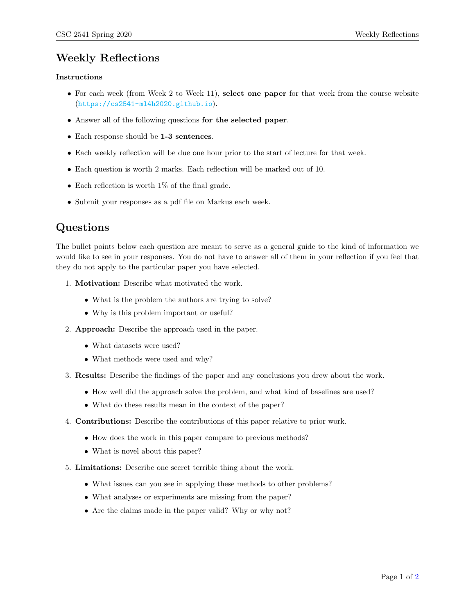## Weekly Reflections

#### Instructions

- For each week (from Week 2 to Week 11), select one paper for that week from the course website (<https://cs2541-ml4h2020.github.io>).
- Answer all of the following questions for the selected paper.
- Each response should be 1-3 sentences.
- Each weekly reflection will be due one hour prior to the start of lecture for that week.
- Each question is worth 2 marks. Each reflection will be marked out of 10.
- Each reflection is worth 1\% of the final grade.
- Submit your responses as a pdf file on Markus each week.

### Questions

The bullet points below each question are meant to serve as a general guide to the kind of information we would like to see in your responses. You do not have to answer all of them in your reflection if you feel that they do not apply to the particular paper you have selected.

- 1. Motivation: Describe what motivated the work.
	- What is the problem the authors are trying to solve?
	- Why is this problem important or useful?
- 2. Approach: Describe the approach used in the paper.
	- What datasets were used?
	- What methods were used and why?
- 3. Results: Describe the findings of the paper and any conclusions you drew about the work.
	- How well did the approach solve the problem, and what kind of baselines are used?
	- What do these results mean in the context of the paper?
- 4. Contributions: Describe the contributions of this paper relative to prior work.
	- How does the work in this paper compare to previous methods?
	- What is novel about this paper?
- 5. Limitations: Describe one secret terrible thing about the work.
	- What issues can you see in applying these methods to other problems?
	- What analyses or experiments are missing from the paper?
	- Are the claims made in the paper valid? Why or why not?